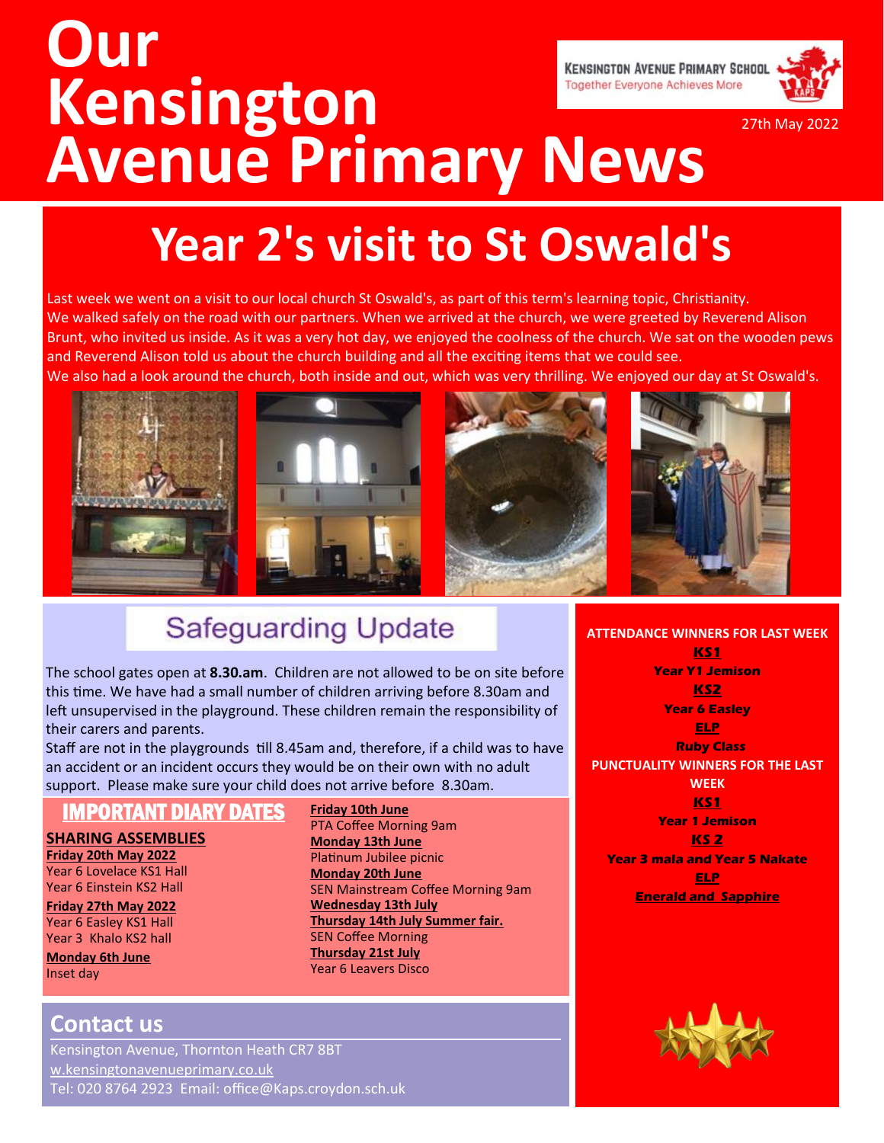# **Our Kensington Avenue Primary News**





27th May 2022

# **Year 2's visit to St Oswald's**

Last week we went on a visit to our local church St Oswald's, as part of this term's learning topic, Christianity. We walked safely on the road with our partners. When we arrived at the church, we were greeted by Reverend Alison Brunt, who invited us inside. As it was a very hot day, we enjoyed the coolness of the church. We sat on the wooden pews and Reverend Alison told us about the church building and all the exciting items that we could see. We also had a look around the church, both inside and out, which was very thrilling. We enjoyed our day at St Oswald's.



## **Safeguarding Update**

The school gates open at **8.30.am**. Children are not allowed to be on site before this time. We have had a small number of children arriving before 8.30am and left unsupervised in the playground. These children remain the responsibility of their carers and parents.

Staff are not in the playgrounds till 8.45am and, therefore, if a child was to have an accident or an incident occurs they would be on their own with no adult support. Please make sure your child does not arrive before 8.30am.

> **Friday 10th June**  PTA Coffee Morning 9am **Monday 13th June**  Platinum Jubilee picnic **Monday 20th June**

**Wednesday 13th July**

SEN Coffee Morning **Thursday 21st July**  Year 6 Leavers Disco

SEN Mainstream Coffee Morning 9am

**Thursday 14th July Summer fair.** 

#### IMPORTANT DIARY DATES

**SHARING ASSEMBLIES Friday 20th May 2022**

Year 6 Lovelace KS1 Hall Year 6 Einstein KS2 Hall

**Friday 27th May 2022**  Year 6 Easley KS1 Hall Year 3 Khalo KS2 hall

**Monday 6th June**  Inset day

#### **Contact us**

Kensington Avenue, Thornton Heath CR7 8BT w.kensingtonavenueprimary.co.uk Tel: [020 8764 2923](tel:+442076221619) Email: office@Kaps.croydon.sch.uk **ATTENDANCE WINNERS FOR LAST WEEK KS1 Year Y1 Jemison KS2 Year 6 Easley ELP Ruby Class PUNCTUALITY WINNERS FOR THE LAST WEEK KS1 Year 1 Jemison KS 2 Year 3 mala and Year 5 Nakate ELP Enerald and Sapphire**

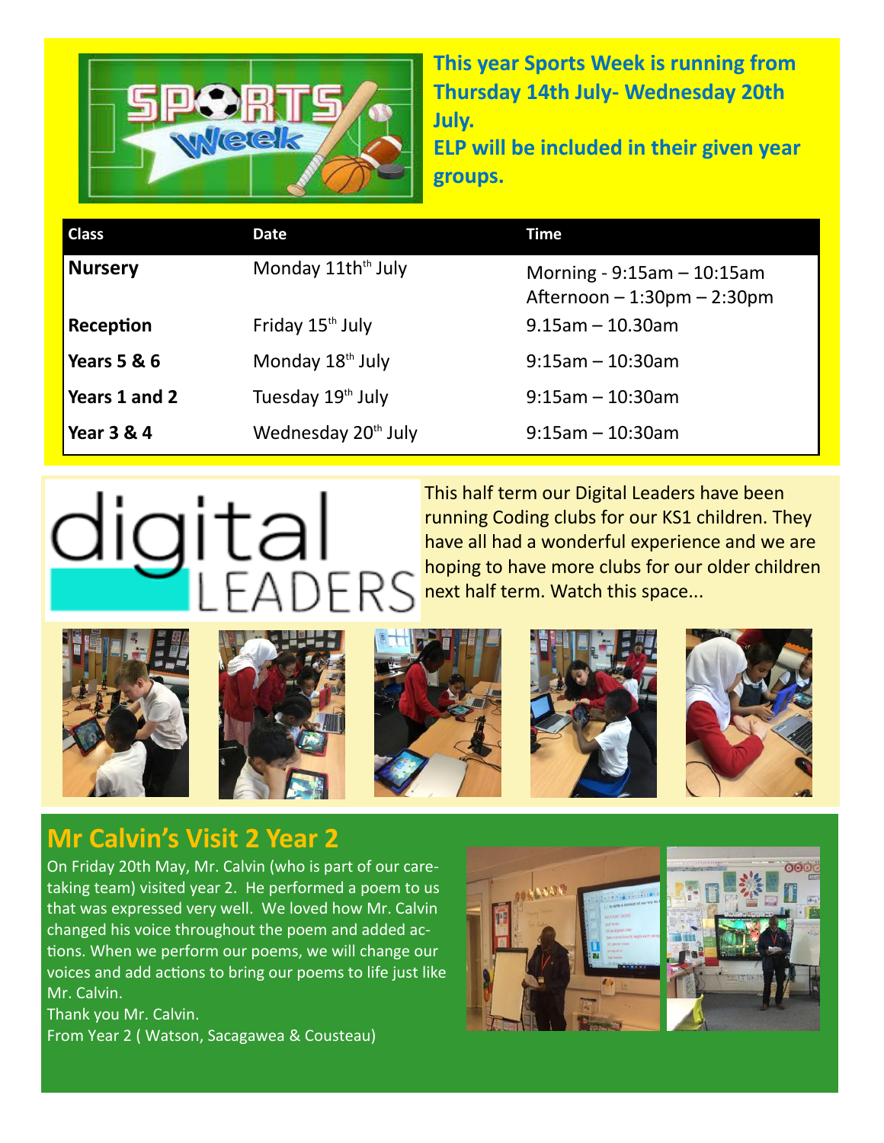

**This year Sports Week is running from Thursday 14th July- Wednesday 20th July.** 

**ELP will be included in their given year groups.**

| <b>Class</b>  | Date                            | Time                                                            |
|---------------|---------------------------------|-----------------------------------------------------------------|
| Nursery       | Monday 11th <sup>th</sup> July  | Morning - $9:15am - 10:15am$<br>Afternoon $-1:30$ pm $-2:30$ pm |
| Reception     | Friday 15 <sup>th</sup> July    | $9.15$ am - 10.30am                                             |
| Years 5 & 6   | Monday 18 <sup>th</sup> July    | $9:15$ am - 10:30am                                             |
| Years 1 and 2 | Tuesday 19th July               | $9:15$ am - 10:30am                                             |
| Year 3 & 4    | Wednesday 20 <sup>th</sup> July | $9:15$ am - 10:30am                                             |

# digital

This half term our Digital Leaders have been running Coding clubs for our KS1 children. They have all had a wonderful experience and we are hoping to have more clubs for our older children next half term. Watch this space...











### **Mr Calvin's Visit 2 Year 2**

On Friday 20th May, Mr. Calvin (who is part of our caretaking team) visited year 2. He performed a poem to us that was expressed very well. We loved how Mr. Calvin changed his voice throughout the poem and added actions. When we perform our poems, we will change our voices and add actions to bring our poems to life just like Mr. Calvin.

Thank you Mr. Calvin. From Year 2 ( Watson, Sacagawea & Cousteau)

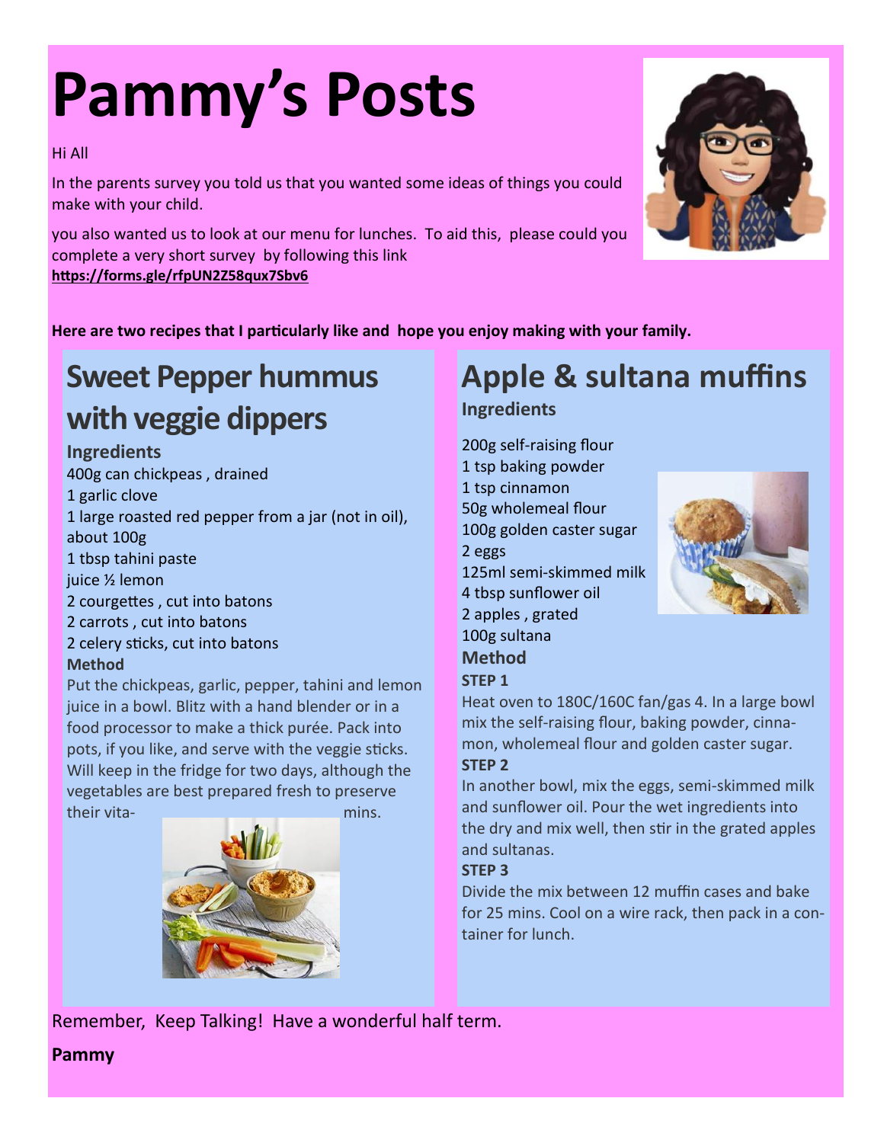# **Pammy's Posts**

#### Hi All

In the parents survey you told us that you wanted some ideas of things you could make with your child.

you also wanted us to look at our menu for lunches. To aid this, please could you complete a very short survey by following this link **<https://forms.gle/rfpUN2Z58qux7Sbv6>** 

**Here are two recipes that I particularly like and hope you enjoy making with your family.** 

## **Sweet Pepper hummus with veggie dippers**

#### **Ingredients**

400g can chickpeas , drained 1 garlic clove 1 large roasted red pepper from a jar (not in oil), about 100g 1 tbsp tahini paste juice ½ lemon 2 courgettes , cut into batons 2 carrots , cut into batons

2 celery sticks, cut into batons

#### **Method**

Put the chickpeas, garlic, pepper, tahini and lemon juice in a bowl. Blitz with a hand blender or in a food processor to make a thick purée. Pack into pots, if you like, and serve with the veggie sticks. Will keep in the fridge for two days, although the vegetables are best prepared fresh to preserve their vita- mins.



# **Apple & sultana muffins**

#### **Ingredients**

200g self-raising flour 1 tsp baking powder 1 tsp cinnamon 50g wholemeal flour 100g golden caster sugar 2 eggs 125ml semi-skimmed milk 4 tbsp sunflower oil 2 apples , grated 100g sultana **Method STEP 1**

#### Heat oven to 180C/160C fan/gas 4. In a large bowl mix the self-raising flour, baking powder, cinnamon, wholemeal flour and golden caster sugar.

#### **STEP 2**

In another bowl, mix the eggs, semi-skimmed milk and sunflower oil. Pour the wet ingredients into the dry and mix well, then stir in the grated apples and sultanas.

#### **STEP 3**

Divide the mix between 12 muffin cases and bake for 25 mins. Cool on a wire rack, then pack in a container for lunch.

Remember, Keep Talking! Have a wonderful half term.

#### **Pammy**